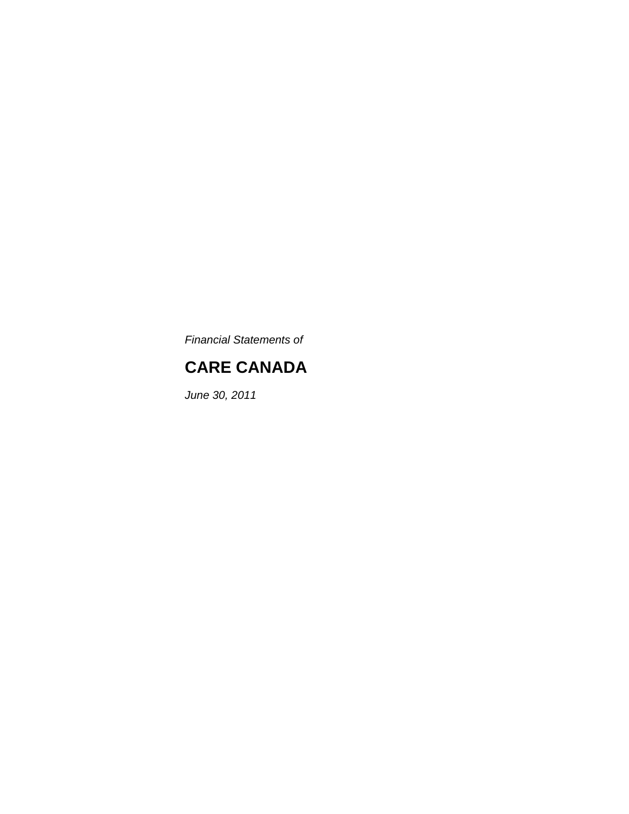*Financial Statements of*

# **CARE CANADA**

*June 30, 2011*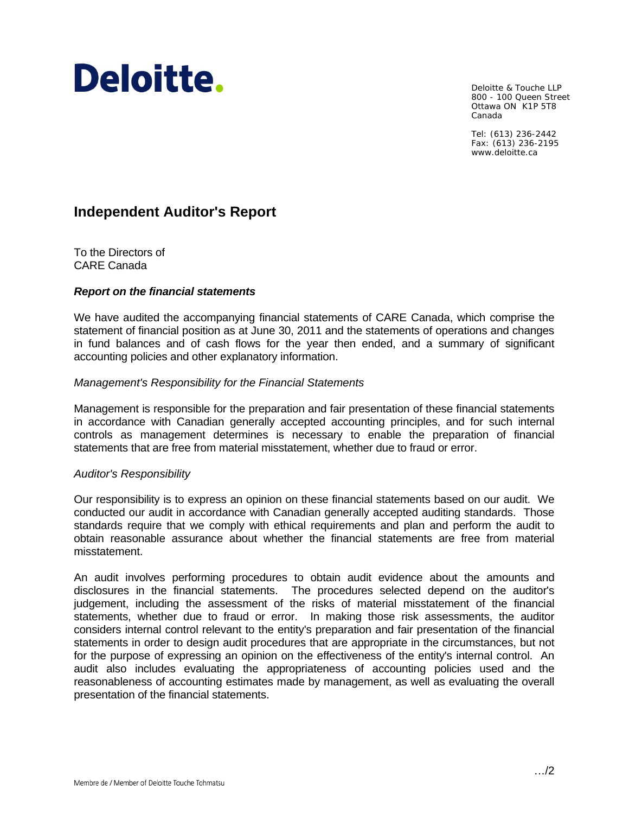# Deloitte.

Deloitte & Touche LLP 800 - 100 Queen Street Ottawa ON K1P 5T8 Canada

Tel: (613) 236-2442 Fax: (613) 236-2195 www.deloitte.ca

## **Independent Auditor's Report**

To the Directors of CARE Canada

#### *Report on the financial statements*

We have audited the accompanying financial statements of CARE Canada, which comprise the statement of financial position as at June 30, 2011 and the statements of operations and changes in fund balances and of cash flows for the year then ended, and a summary of significant accounting policies and other explanatory information.

#### *Management's Responsibility for the Financial Statements*

Management is responsible for the preparation and fair presentation of these financial statements in accordance with Canadian generally accepted accounting principles, and for such internal controls as management determines is necessary to enable the preparation of financial statements that are free from material misstatement, whether due to fraud or error.

#### *Auditor's Responsibility*

Our responsibility is to express an opinion on these financial statements based on our audit. We conducted our audit in accordance with Canadian generally accepted auditing standards. Those standards require that we comply with ethical requirements and plan and perform the audit to obtain reasonable assurance about whether the financial statements are free from material misstatement.

An audit involves performing procedures to obtain audit evidence about the amounts and disclosures in the financial statements. The procedures selected depend on the auditor's judgement, including the assessment of the risks of material misstatement of the financial statements, whether due to fraud or error. In making those risk assessments, the auditor considers internal control relevant to the entity's preparation and fair presentation of the financial statements in order to design audit procedures that are appropriate in the circumstances, but not for the purpose of expressing an opinion on the effectiveness of the entity's internal control. An audit also includes evaluating the appropriateness of accounting policies used and the reasonableness of accounting estimates made by management, as well as evaluating the overall presentation of the financial statements.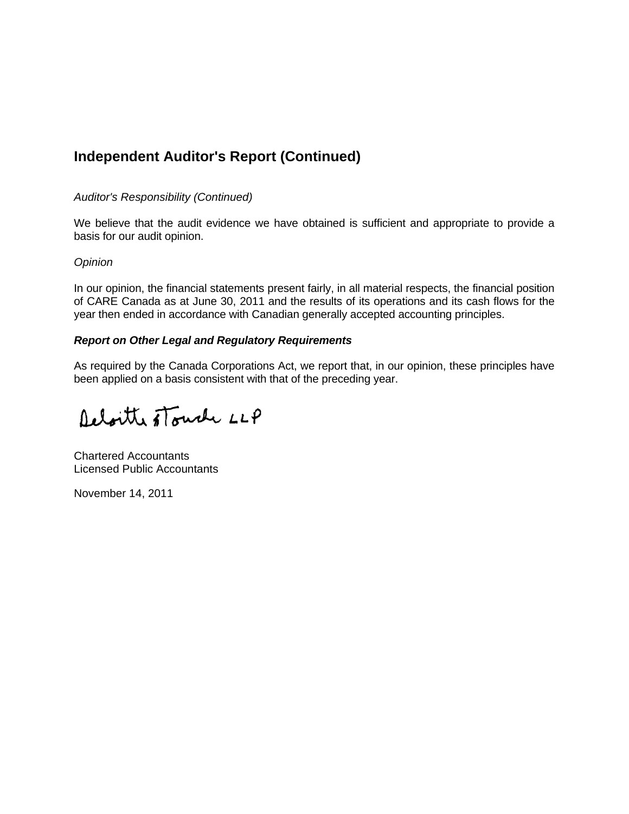# **Independent Auditor's Report (Continued)**

#### *Auditor's Responsibility (Continued)*

We believe that the audit evidence we have obtained is sufficient and appropriate to provide a basis for our audit opinion.

#### *Opinion*

In our opinion, the financial statements present fairly, in all material respects, the financial position of CARE Canada as at June 30, 2011 and the results of its operations and its cash flows for the year then ended in accordance with Canadian generally accepted accounting principles.

#### *Report on Other Legal and Regulatory Requirements*

As required by the Canada Corporations Act, we report that, in our opinion, these principles have been applied on a basis consistent with that of the preceding year.

Deloitte stouch LLP

Chartered Accountants Licensed Public Accountants

November 14, 2011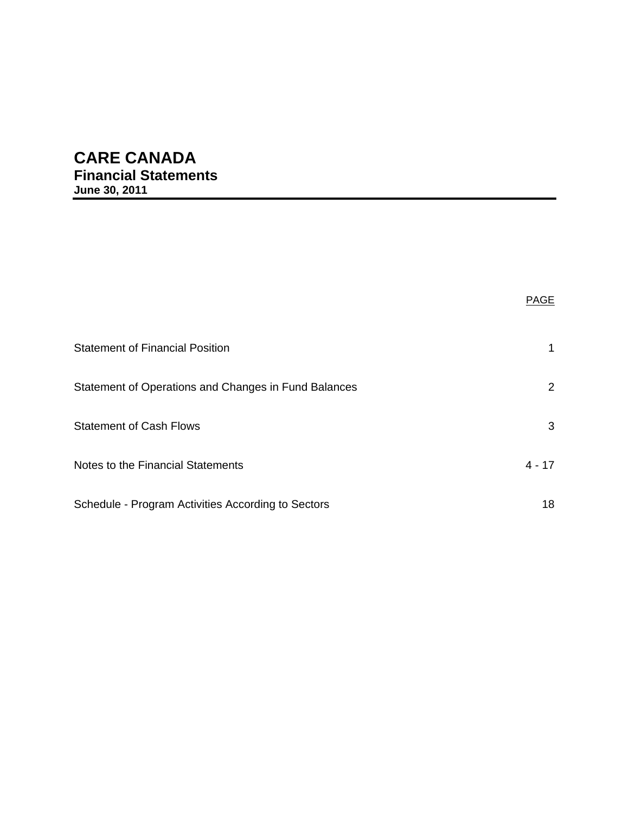# **CARE CANADA**

**Financial Statements June 30, 2011** 

|                                                      | <b>PAGE</b> |
|------------------------------------------------------|-------------|
| <b>Statement of Financial Position</b>               |             |
| Statement of Operations and Changes in Fund Balances | 2           |
| <b>Statement of Cash Flows</b>                       | 3           |
| Notes to the Financial Statements                    | $4 - 17$    |
| Schedule - Program Activities According to Sectors   | 18          |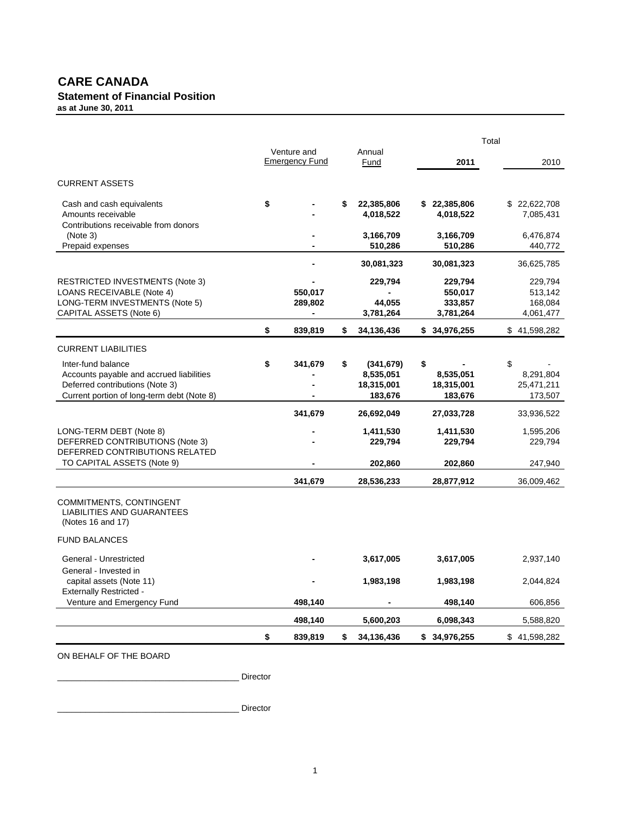#### **CARE CANADA Statement of Financial Position as at June 30, 2011**

|                                                                                                                                                 |                                      |                                                        | Total                                      |                                            |
|-------------------------------------------------------------------------------------------------------------------------------------------------|--------------------------------------|--------------------------------------------------------|--------------------------------------------|--------------------------------------------|
|                                                                                                                                                 | Venture and<br><b>Emergency Fund</b> | Annual<br>Fund                                         | 2011                                       | 2010                                       |
| <b>CURRENT ASSETS</b>                                                                                                                           |                                      |                                                        |                                            |                                            |
| Cash and cash equivalents<br>Amounts receivable<br>Contributions receivable from donors                                                         | \$                                   | 22,385,806<br>4,018,522                                | \$22,385,806<br>4,018,522                  | \$22,622,708<br>7,085,431                  |
| (Note 3)<br>Prepaid expenses                                                                                                                    |                                      | 3,166,709<br>510,286                                   | 3,166,709<br>510,286                       | 6,476,874<br>440,772                       |
|                                                                                                                                                 |                                      | 30,081,323                                             | 30,081,323                                 | 36,625,785                                 |
| <b>RESTRICTED INVESTMENTS (Note 3)</b><br>LOANS RECEIVABLE (Note 4)<br>LONG-TERM INVESTMENTS (Note 5)<br>CAPITAL ASSETS (Note 6)                | 550,017<br>289,802                   | 229,794<br>44,055<br>3,781,264                         | 229,794<br>550,017<br>333,857<br>3,781,264 | 229,794<br>513,142<br>168,084<br>4,061,477 |
|                                                                                                                                                 | \$<br>839,819                        | \$<br>34,136,436                                       | \$34,976,255                               | \$41,598,282                               |
| <b>CURRENT LIABILITIES</b>                                                                                                                      |                                      |                                                        |                                            |                                            |
| Inter-fund balance<br>Accounts payable and accrued liabilities<br>Deferred contributions (Note 3)<br>Current portion of long-term debt (Note 8) | \$<br>341,679                        | \$<br>(341, 679)<br>8,535,051<br>18,315,001<br>183,676 | \$<br>8,535,051<br>18,315,001<br>183,676   | \$<br>8,291,804<br>25,471,211<br>173,507   |
|                                                                                                                                                 | 341,679                              | 26,692,049                                             | 27,033,728                                 | 33,936,522                                 |
| LONG-TERM DEBT (Note 8)<br>DEFERRED CONTRIBUTIONS (Note 3)<br>DEFERRED CONTRIBUTIONS RELATED                                                    |                                      | 1,411,530<br>229,794                                   | 1,411,530<br>229,794                       | 1,595,206<br>229,794                       |
| TO CAPITAL ASSETS (Note 9)                                                                                                                      |                                      | 202,860                                                | 202,860                                    | 247,940                                    |
| COMMITMENTS, CONTINGENT<br>LIABILITIES AND GUARANTEES<br>(Notes 16 and 17)<br><b>FUND BALANCES</b>                                              | 341,679                              | 28,536,233                                             | 28,877,912                                 | 36,009,462                                 |
| General - Unrestricted                                                                                                                          |                                      | 3,617,005                                              | 3,617,005                                  | 2,937,140                                  |
| General - Invested in<br>capital assets (Note 11)<br><b>Externally Restricted -</b>                                                             |                                      | 1,983,198                                              | 1,983,198                                  | 2,044,824                                  |
| Venture and Emergency Fund                                                                                                                      | 498,140                              |                                                        | 498,140                                    | 606,856                                    |
|                                                                                                                                                 | 498,140                              | 5,600,203                                              | 6,098,343                                  | 5,588,820                                  |
|                                                                                                                                                 | \$<br>839,819                        | \$<br>34,136,436                                       | \$34,976,255                               | \$41,598,282                               |
|                                                                                                                                                 |                                      |                                                        |                                            |                                            |

ON BEHALF OF THE BOARD

\_\_\_\_\_\_\_\_\_\_\_\_\_\_\_\_\_\_\_\_\_\_\_\_\_\_\_\_\_\_\_\_\_\_\_\_\_\_\_ Director

\_\_\_\_\_\_\_\_\_\_\_\_\_\_\_\_\_\_\_\_\_\_\_\_\_\_\_\_\_\_\_\_\_\_\_\_\_\_\_ Director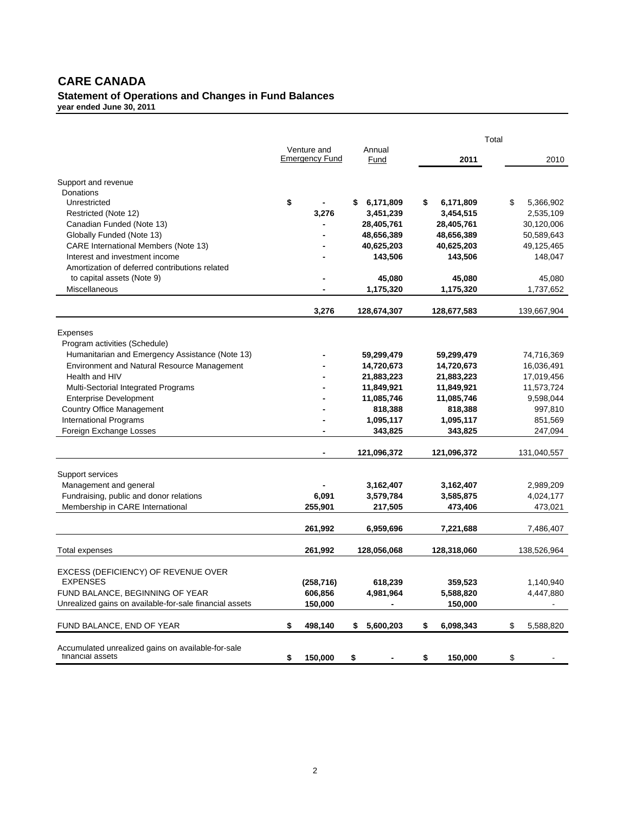#### **CARE CANADA Statement of Operations and Changes in Fund Balances year ended June 30, 2011**

|                                                         |                                      |                 |                 | Total |             |
|---------------------------------------------------------|--------------------------------------|-----------------|-----------------|-------|-------------|
|                                                         | Venture and<br><b>Emergency Fund</b> | Annual<br>Fund  | 2011            |       | 2010        |
| Support and revenue                                     |                                      |                 |                 |       |             |
| Donations                                               |                                      |                 |                 |       |             |
| Unrestricted                                            | \$                                   | \$<br>6,171,809 | \$<br>6,171,809 | \$    | 5,366,902   |
| Restricted (Note 12)                                    | 3,276                                | 3,451,239       | 3,454,515       |       | 2,535,109   |
| Canadian Funded (Note 13)                               |                                      | 28,405,761      | 28,405,761      |       | 30,120,006  |
| Globally Funded (Note 13)                               |                                      | 48,656,389      | 48,656,389      |       | 50,589,643  |
| <b>CARE International Members (Note 13)</b>             |                                      | 40,625,203      | 40,625,203      |       | 49,125,465  |
| Interest and investment income                          |                                      | 143,506         | 143,506         |       | 148,047     |
| Amortization of deferred contributions related          |                                      |                 |                 |       |             |
| to capital assets (Note 9)                              |                                      | 45,080          | 45,080          |       | 45,080      |
| Miscellaneous                                           |                                      | 1,175,320       | 1,175,320       |       | 1,737,652   |
|                                                         |                                      |                 |                 |       |             |
|                                                         | 3,276                                | 128,674,307     | 128,677,583     |       | 139,667,904 |
| Expenses                                                |                                      |                 |                 |       |             |
| Program activities (Schedule)                           |                                      |                 |                 |       |             |
| Humanitarian and Emergency Assistance (Note 13)         |                                      | 59,299,479      | 59,299,479      |       | 74,716,369  |
| <b>Environment and Natural Resource Management</b>      |                                      | 14,720,673      | 14,720,673      |       | 16,036,491  |
| Health and HIV                                          |                                      | 21,883,223      | 21,883,223      |       | 17,019,456  |
| Multi-Sectorial Integrated Programs                     |                                      | 11,849,921      | 11,849,921      |       | 11,573,724  |
| <b>Enterprise Development</b>                           |                                      | 11,085,746      | 11,085,746      |       | 9,598,044   |
| <b>Country Office Management</b>                        |                                      | 818,388         | 818,388         |       | 997,810     |
| <b>International Programs</b>                           |                                      | 1,095,117       | 1,095,117       |       | 851,569     |
| Foreign Exchange Losses                                 |                                      | 343,825         | 343,825         |       | 247,094     |
|                                                         |                                      | 121,096,372     | 121,096,372     |       | 131,040,557 |
| Support services                                        |                                      |                 |                 |       |             |
| Management and general                                  |                                      | 3,162,407       | 3,162,407       |       | 2,989,209   |
| Fundraising, public and donor relations                 | 6,091                                | 3,579,784       | 3,585,875       |       | 4,024,177   |
| Membership in CARE International                        | 255,901                              | 217,505         | 473,406         |       | 473,021     |
|                                                         |                                      |                 |                 |       |             |
|                                                         | 261,992                              | 6,959,696       | 7,221,688       |       | 7,486,407   |
| Total expenses                                          | 261,992                              | 128,056,068     | 128,318,060     |       | 138,526,964 |
| EXCESS (DEFICIENCY) OF REVENUE OVER                     |                                      |                 |                 |       |             |
| <b>EXPENSES</b>                                         | (258, 716)                           | 618,239         | 359,523         |       | 1,140,940   |
| FUND BALANCE, BEGINNING OF YEAR                         | 606,856                              | 4,981,964       | 5,588,820       |       | 4,447,880   |
| Unrealized gains on available-for-sale financial assets | 150,000                              |                 | 150,000         |       |             |
|                                                         |                                      |                 |                 |       |             |
| FUND BALANCE, END OF YEAR                               | \$<br>498,140                        | \$<br>5,600,203 | \$<br>6,098,343 | \$    | 5,588,820   |
| Accumulated unrealized gains on available-for-sale      |                                      |                 |                 |       |             |
| financial assets                                        | \$<br>150,000                        | \$              | \$<br>150,000   | \$    |             |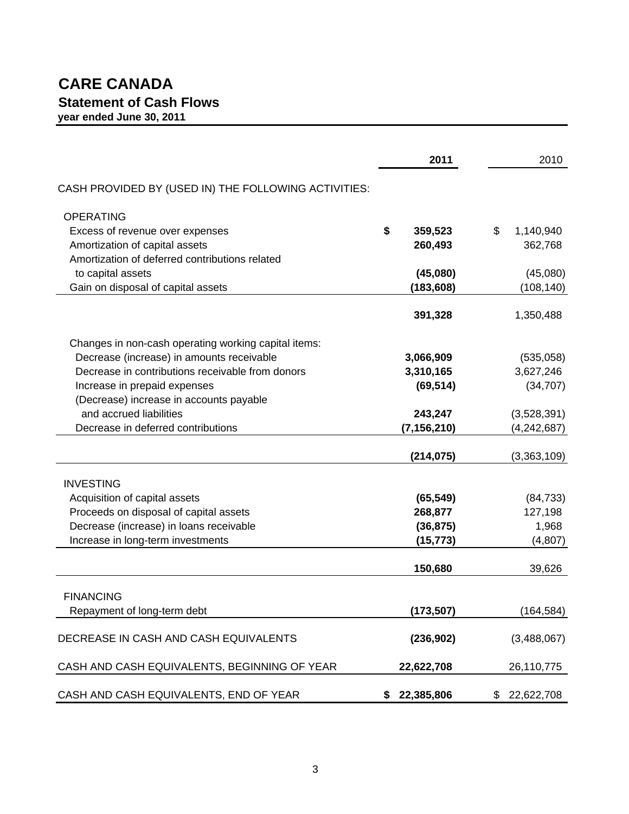# **CARE CANADA Statement of Cash Flows year ended June 30, 2011**

|                                                                                                   | 2011                   | 2010             |
|---------------------------------------------------------------------------------------------------|------------------------|------------------|
| CASH PROVIDED BY (USED IN) THE FOLLOWING ACTIVITIES:                                              |                        |                  |
| <b>OPERATING</b>                                                                                  |                        |                  |
| Excess of revenue over expenses                                                                   | \$<br>359,523          | \$<br>1,140,940  |
| Amortization of capital assets                                                                    | 260,493                | 362,768          |
| Amortization of deferred contributions related                                                    |                        |                  |
| to capital assets                                                                                 | (45,080)               | (45,080)         |
| Gain on disposal of capital assets                                                                | (183, 608)             | (108, 140)       |
|                                                                                                   | 391,328                | 1,350,488        |
|                                                                                                   |                        |                  |
| Changes in non-cash operating working capital items:<br>Decrease (increase) in amounts receivable | 3,066,909              | (535,058)        |
| Decrease in contributions receivable from donors                                                  | 3,310,165              | 3,627,246        |
| Increase in prepaid expenses                                                                      | (69, 514)              | (34, 707)        |
| (Decrease) increase in accounts payable                                                           |                        |                  |
| and accrued liabilities                                                                           | 243,247                | (3,528,391)      |
| Decrease in deferred contributions                                                                | (7, 156, 210)          | (4, 242, 687)    |
|                                                                                                   |                        |                  |
|                                                                                                   | (214, 075)             | (3,363,109)      |
|                                                                                                   |                        |                  |
| <b>INVESTING</b>                                                                                  |                        |                  |
| Acquisition of capital assets                                                                     | (65, 549)              | (84, 733)        |
| Proceeds on disposal of capital assets<br>Decrease (increase) in loans receivable                 | 268,877                | 127,198<br>1,968 |
| Increase in long-term investments                                                                 | (36, 875)<br>(15, 773) | (4, 807)         |
|                                                                                                   |                        |                  |
|                                                                                                   | 150,680                | 39,626           |
|                                                                                                   |                        |                  |
| <b>FINANCING</b><br>Repayment of long-term debt                                                   | (173, 507)             | (164, 584)       |
|                                                                                                   |                        |                  |
| DECREASE IN CASH AND CASH EQUIVALENTS                                                             | (236, 902)             | (3,488,067)      |
| CASH AND CASH EQUIVALENTS, BEGINNING OF YEAR                                                      | 22,622,708             | 26,110,775       |
|                                                                                                   |                        |                  |
| CASH AND CASH EQUIVALENTS, END OF YEAR                                                            | \$22,385,806           | 22,622,708<br>\$ |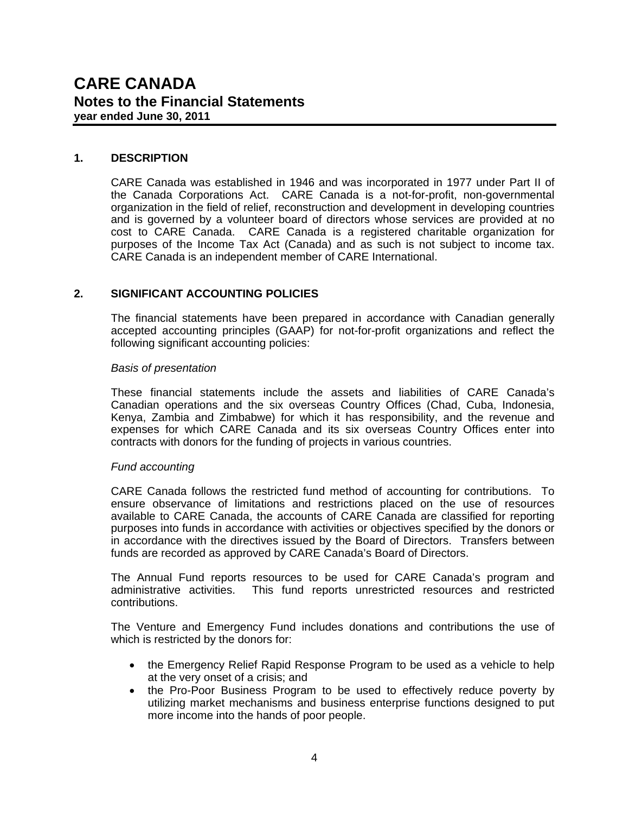#### **1. DESCRIPTION**

CARE Canada was established in 1946 and was incorporated in 1977 under Part II of the Canada Corporations Act. CARE Canada is a not-for-profit, non-governmental organization in the field of relief, reconstruction and development in developing countries and is governed by a volunteer board of directors whose services are provided at no cost to CARE Canada. CARE Canada is a registered charitable organization for purposes of the Income Tax Act (Canada) and as such is not subject to income tax. CARE Canada is an independent member of CARE International.

#### **2. SIGNIFICANT ACCOUNTING POLICIES**

 The financial statements have been prepared in accordance with Canadian generally accepted accounting principles (GAAP) for not-for-profit organizations and reflect the following significant accounting policies:

#### *Basis of presentation*

 These financial statements include the assets and liabilities of CARE Canada's Canadian operations and the six overseas Country Offices (Chad, Cuba, Indonesia, Kenya, Zambia and Zimbabwe) for which it has responsibility, and the revenue and expenses for which CARE Canada and its six overseas Country Offices enter into contracts with donors for the funding of projects in various countries.

#### *Fund accounting*

 CARE Canada follows the restricted fund method of accounting for contributions. To ensure observance of limitations and restrictions placed on the use of resources available to CARE Canada, the accounts of CARE Canada are classified for reporting purposes into funds in accordance with activities or objectives specified by the donors or in accordance with the directives issued by the Board of Directors. Transfers between funds are recorded as approved by CARE Canada's Board of Directors.

 The Annual Fund reports resources to be used for CARE Canada's program and administrative activities. This fund reports unrestricted resources and restricted contributions.

The Venture and Emergency Fund includes donations and contributions the use of which is restricted by the donors for:

- the Emergency Relief Rapid Response Program to be used as a vehicle to help at the very onset of a crisis; and
- the Pro-Poor Business Program to be used to effectively reduce poverty by utilizing market mechanisms and business enterprise functions designed to put more income into the hands of poor people.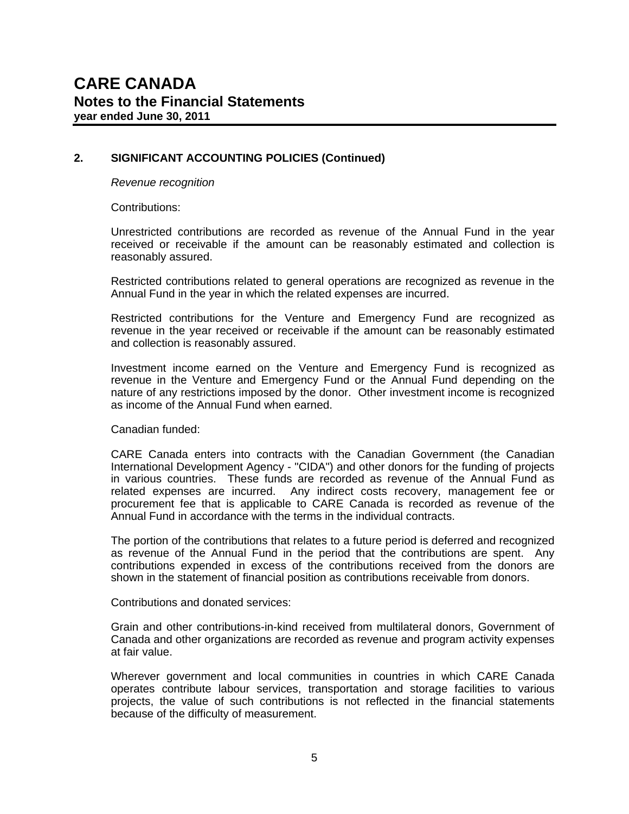*Revenue recognition* 

Contributions:

 Unrestricted contributions are recorded as revenue of the Annual Fund in the year received or receivable if the amount can be reasonably estimated and collection is reasonably assured.

Restricted contributions related to general operations are recognized as revenue in the Annual Fund in the year in which the related expenses are incurred.

 Restricted contributions for the Venture and Emergency Fund are recognized as revenue in the year received or receivable if the amount can be reasonably estimated and collection is reasonably assured.

 Investment income earned on the Venture and Emergency Fund is recognized as revenue in the Venture and Emergency Fund or the Annual Fund depending on the nature of any restrictions imposed by the donor. Other investment income is recognized as income of the Annual Fund when earned.

Canadian funded:

 CARE Canada enters into contracts with the Canadian Government (the Canadian International Development Agency - "CIDA") and other donors for the funding of projects in various countries. These funds are recorded as revenue of the Annual Fund as related expenses are incurred. Any indirect costs recovery, management fee or procurement fee that is applicable to CARE Canada is recorded as revenue of the Annual Fund in accordance with the terms in the individual contracts.

 The portion of the contributions that relates to a future period is deferred and recognized as revenue of the Annual Fund in the period that the contributions are spent. Any contributions expended in excess of the contributions received from the donors are shown in the statement of financial position as contributions receivable from donors.

Contributions and donated services:

Grain and other contributions-in-kind received from multilateral donors, Government of Canada and other organizations are recorded as revenue and program activity expenses at fair value.

Wherever government and local communities in countries in which CARE Canada operates contribute labour services, transportation and storage facilities to various projects, the value of such contributions is not reflected in the financial statements because of the difficulty of measurement.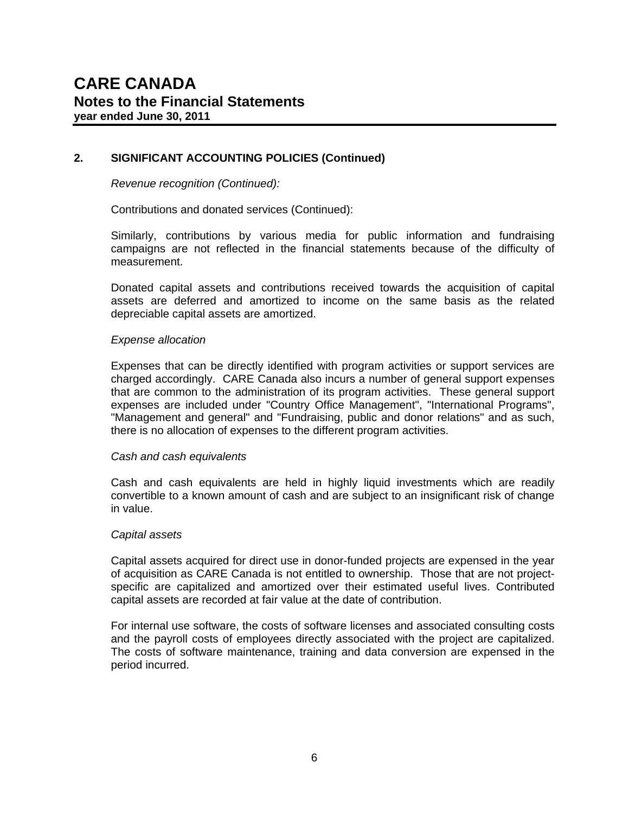*Revenue recognition (Continued):*

Contributions and donated services (Continued):

Similarly, contributions by various media for public information and fundraising campaigns are not reflected in the financial statements because of the difficulty of measurement.

Donated capital assets and contributions received towards the acquisition of capital assets are deferred and amortized to income on the same basis as the related depreciable capital assets are amortized.

#### *Expense allocation*

Expenses that can be directly identified with program activities or support services are charged accordingly. CARE Canada also incurs a number of general support expenses that are common to the administration of its program activities. These general support expenses are included under "Country Office Management", "International Programs", "Management and general" and "Fundraising, public and donor relations" and as such, there is no allocation of expenses to the different program activities.

#### *Cash and cash equivalents*

Cash and cash equivalents are held in highly liquid investments which are readily convertible to a known amount of cash and are subject to an insignificant risk of change in value.

#### *Capital assets*

Capital assets acquired for direct use in donor-funded projects are expensed in the year of acquisition as CARE Canada is not entitled to ownership. Those that are not projectspecific are capitalized and amortized over their estimated useful lives. Contributed capital assets are recorded at fair value at the date of contribution.

For internal use software, the costs of software licenses and associated consulting costs and the payroll costs of employees directly associated with the project are capitalized. The costs of software maintenance, training and data conversion are expensed in the period incurred.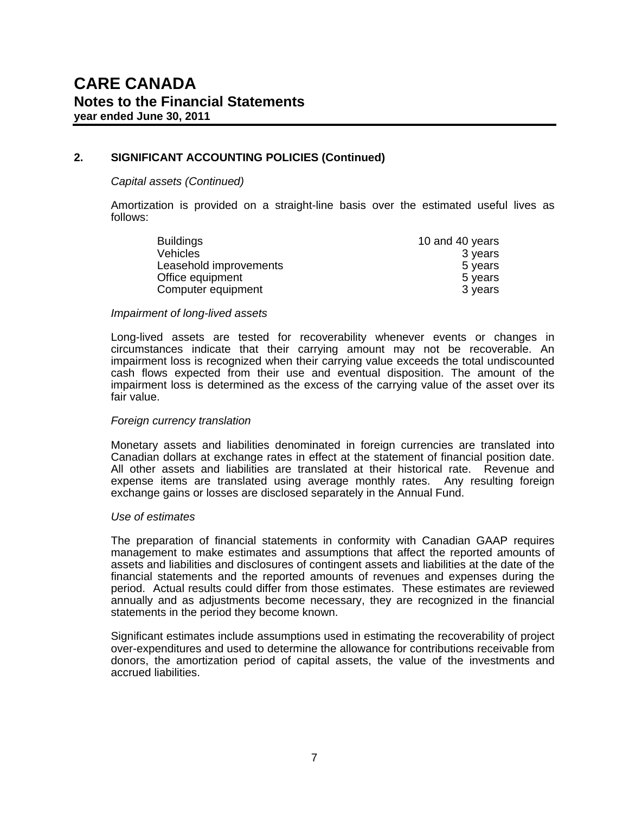#### *Capital assets (Continued)*

Amortization is provided on a straight-line basis over the estimated useful lives as follows:

| <b>Buildings</b>       | 10 and 40 years |
|------------------------|-----------------|
| Vehicles               | 3 years         |
| Leasehold improvements | 5 years         |
| Office equipment       | 5 years         |
| Computer equipment     | 3 years         |

#### *Impairment of long-lived assets*

Long-lived assets are tested for recoverability whenever events or changes in circumstances indicate that their carrying amount may not be recoverable. An impairment loss is recognized when their carrying value exceeds the total undiscounted cash flows expected from their use and eventual disposition. The amount of the impairment loss is determined as the excess of the carrying value of the asset over its fair value.

#### *Foreign currency translation*

Monetary assets and liabilities denominated in foreign currencies are translated into Canadian dollars at exchange rates in effect at the statement of financial position date. All other assets and liabilities are translated at their historical rate. Revenue and expense items are translated using average monthly rates. Any resulting foreign exchange gains or losses are disclosed separately in the Annual Fund.

#### *Use of estimates*

The preparation of financial statements in conformity with Canadian GAAP requires management to make estimates and assumptions that affect the reported amounts of assets and liabilities and disclosures of contingent assets and liabilities at the date of the financial statements and the reported amounts of revenues and expenses during the period. Actual results could differ from those estimates. These estimates are reviewed annually and as adjustments become necessary, they are recognized in the financial statements in the period they become known.

Significant estimates include assumptions used in estimating the recoverability of project over-expenditures and used to determine the allowance for contributions receivable from donors, the amortization period of capital assets, the value of the investments and accrued liabilities.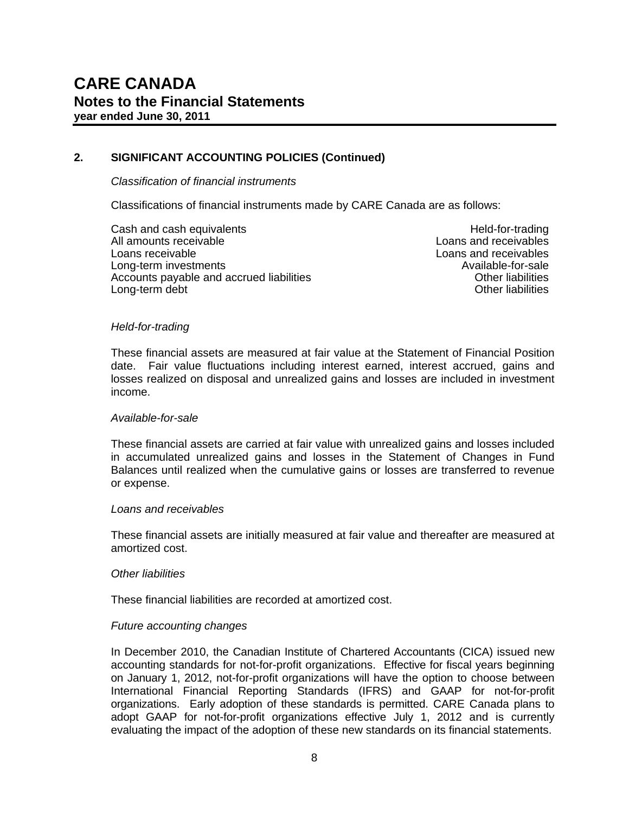#### *Classification of financial instruments*

Classifications of financial instruments made by CARE Canada are as follows:

Cash and cash equivalents **Held-for-trading** Held-for-trading All amounts receivable Loans and receivables All amounts receivables Loans receivable Loans and receivables Long-term investments<br>Accounts payable and accrued liabilities<br>Accounts payable and accrued liabilities Accounts payable and accrued liabilities **Accounts in the United States** Other liabilities<br>I ong-term debt Long-term debt

#### *Held-for-trading*

These financial assets are measured at fair value at the Statement of Financial Position date. Fair value fluctuations including interest earned, interest accrued, gains and losses realized on disposal and unrealized gains and losses are included in investment income.

#### *Available-for-sale*

These financial assets are carried at fair value with unrealized gains and losses included in accumulated unrealized gains and losses in the Statement of Changes in Fund Balances until realized when the cumulative gains or losses are transferred to revenue or expense.

#### *Loans and receivables*

These financial assets are initially measured at fair value and thereafter are measured at amortized cost.

#### *Other liabilities*

These financial liabilities are recorded at amortized cost.

#### *Future accounting changes*

In December 2010, the Canadian Institute of Chartered Accountants (CICA) issued new accounting standards for not-for-profit organizations. Effective for fiscal years beginning on January 1, 2012, not-for-profit organizations will have the option to choose between International Financial Reporting Standards (IFRS) and GAAP for not-for-profit organizations. Early adoption of these standards is permitted. CARE Canada plans to adopt GAAP for not-for-profit organizations effective July 1, 2012 and is currently evaluating the impact of the adoption of these new standards on its financial statements.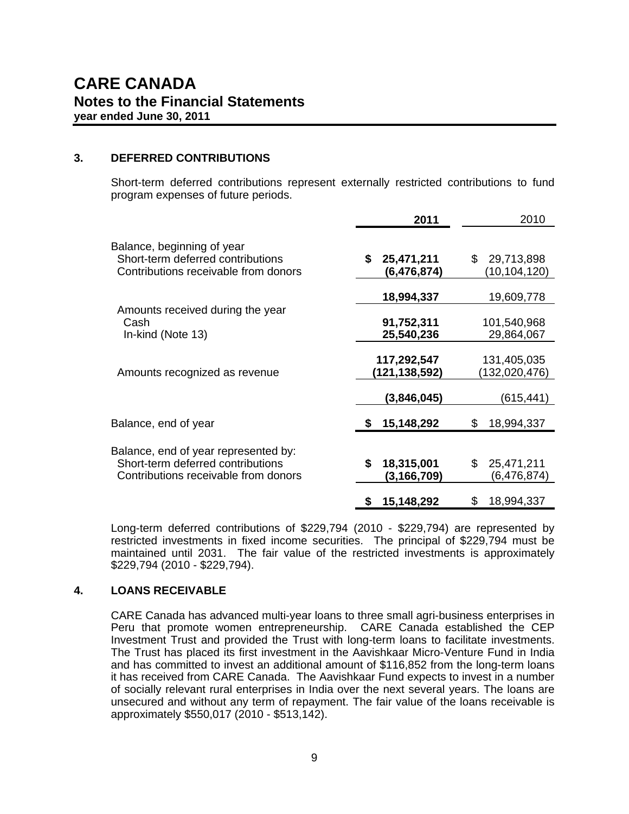#### **3. DEFERRED CONTRIBUTIONS**

Short-term deferred contributions represent externally restricted contributions to fund program expenses of future periods.

|                                                                                                                   | 2011                            | 2010                              |
|-------------------------------------------------------------------------------------------------------------------|---------------------------------|-----------------------------------|
| Balance, beginning of year<br>Short-term deferred contributions<br>Contributions receivable from donors           | \$<br>25,471,211<br>(6,476,874) | 29,713,898<br>\$<br>(10,104,120)  |
|                                                                                                                   | 18,994,337                      | 19,609,778                        |
| Amounts received during the year<br>Cash<br>In-kind (Note 13)                                                     | 91,752,311<br>25,540,236        | 101,540,968<br>29,864,067         |
| Amounts recognized as revenue                                                                                     | 117,292,547<br>(121,138,592)    | 131,405,035<br>(132,020,476)      |
|                                                                                                                   | (3,846,045)                     | (615,441)                         |
| Balance, end of year                                                                                              | 15,148,292                      | 18,994,337<br>\$                  |
| Balance, end of year represented by:<br>Short-term deferred contributions<br>Contributions receivable from donors | \$<br>18,315,001<br>(3,166,709) | \$<br>25,471,211<br>(6, 476, 874) |
|                                                                                                                   | 15,148,292<br>\$                | 18,994,337<br>\$                  |

Long-term deferred contributions of \$229,794 (2010 - \$229,794) are represented by restricted investments in fixed income securities. The principal of \$229,794 must be maintained until 2031. The fair value of the restricted investments is approximately \$229,794 (2010 - \$229,794).

#### **4. LOANS RECEIVABLE**

CARE Canada has advanced multi-year loans to three small agri-business enterprises in Peru that promote women entrepreneurship. CARE Canada established the CEP Investment Trust and provided the Trust with long-term loans to facilitate investments. The Trust has placed its first investment in the Aavishkaar Micro-Venture Fund in India and has committed to invest an additional amount of \$116,852 from the long-term loans it has received from CARE Canada. The Aavishkaar Fund expects to invest in a number of socially relevant rural enterprises in India over the next several years. The loans are unsecured and without any term of repayment. The fair value of the loans receivable is approximately \$550,017 (2010 - \$513,142).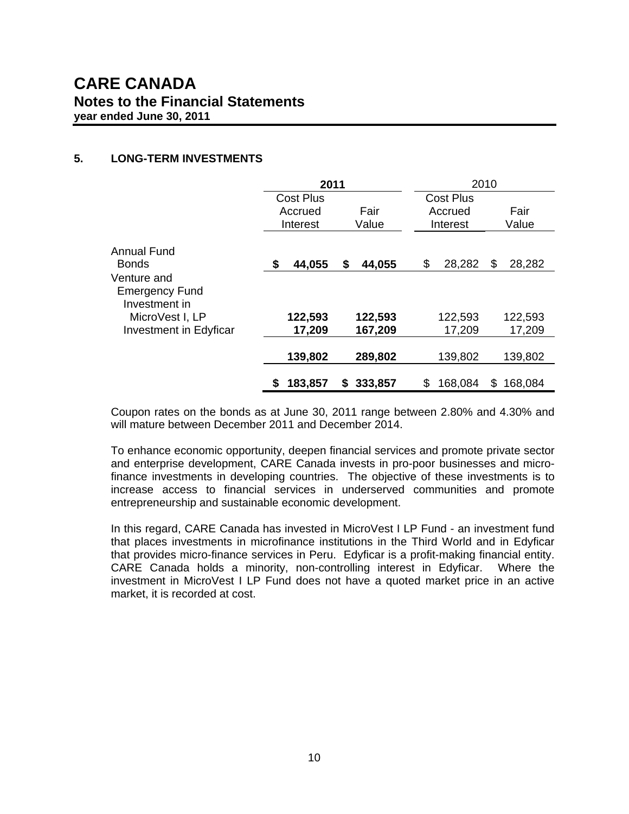#### **5. LONG-TERM INVESTMENTS**

|                                                       |                  | 2010<br>2011  |                  |                |
|-------------------------------------------------------|------------------|---------------|------------------|----------------|
|                                                       | <b>Cost Plus</b> |               | <b>Cost Plus</b> |                |
|                                                       | Accrued          | Fair          | Accrued          | Fair           |
|                                                       | Interest         | Value         | Interest         | Value          |
| Annual Fund<br><b>Bonds</b>                           | 44,055<br>- \$   | \$<br>44,055  | \$<br>28,282     | 28,282<br>S    |
| Venture and<br><b>Emergency Fund</b><br>Investment in |                  |               |                  |                |
| MicroVest I, LP                                       | 122,593          | 122,593       | 122,593          | 122,593        |
| <b>Investment in Edyficar</b>                         | 17,209           | 167,209       | 17,209           | 17,209         |
|                                                       | 139,802          | 289,802       | 139,802          | 139,802        |
|                                                       | 183,857<br>S     | 333,857<br>S. | \$<br>168,084    | 168,084<br>\$. |

Coupon rates on the bonds as at June 30, 2011 range between 2.80% and 4.30% and will mature between December 2011 and December 2014.

To enhance economic opportunity, deepen financial services and promote private sector and enterprise development, CARE Canada invests in pro-poor businesses and microfinance investments in developing countries. The objective of these investments is to increase access to financial services in underserved communities and promote entrepreneurship and sustainable economic development.

In this regard, CARE Canada has invested in MicroVest I LP Fund - an investment fund that places investments in microfinance institutions in the Third World and in Edyficar that provides micro-finance services in Peru. Edyficar is a profit-making financial entity. CARE Canada holds a minority, non-controlling interest in Edyficar. Where the investment in MicroVest I LP Fund does not have a quoted market price in an active market, it is recorded at cost.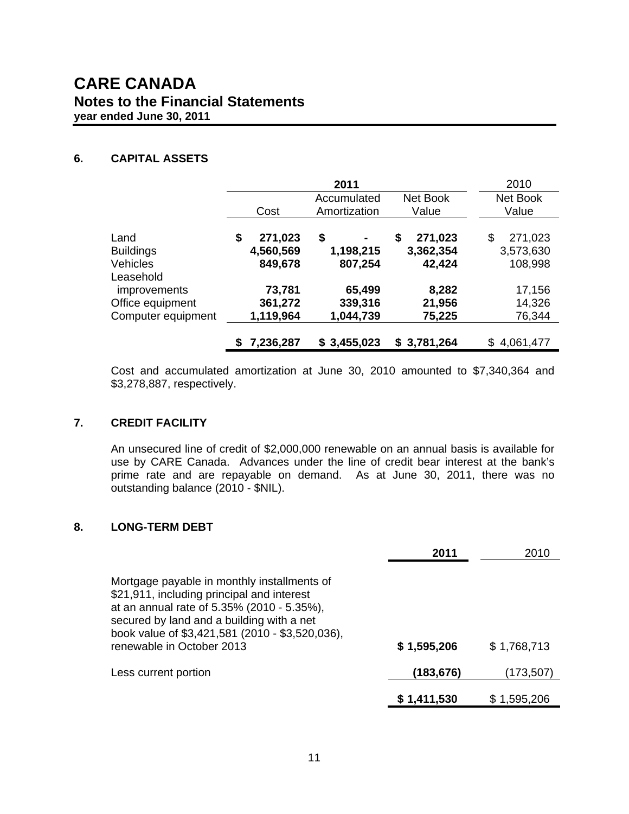### **CARE CANADA Notes to the Financial Statements year ended June 30, 2011**

#### **6. CAPITAL ASSETS**

|                                                               |                                                          | 2011                            |                                      | 2010                                  |
|---------------------------------------------------------------|----------------------------------------------------------|---------------------------------|--------------------------------------|---------------------------------------|
|                                                               | Net Book<br>Accumulated<br>Amortization<br>Value<br>Cost |                                 |                                      |                                       |
| Land<br><b>Buildings</b><br><b>Vehicles</b><br>Leasehold      | 271,023<br>S<br>4,560,569<br>849,678                     | \$<br>۰<br>1,198,215<br>807,254 | 271,023<br>\$<br>3,362,354<br>42,424 | \$<br>271,023<br>3,573,630<br>108,998 |
| <i>improvements</i><br>Office equipment<br>Computer equipment | 73,781<br>361,272<br>1,119,964                           | 65,499<br>339,316<br>1,044,739  | 8,282<br>21,956<br>75,225            | 17,156<br>14,326<br>76,344            |
|                                                               | 7,236,287                                                | \$3,455,023                     | \$3,781,264                          | \$4,061,477                           |

Cost and accumulated amortization at June 30, 2010 amounted to \$7,340,364 and \$3,278,887, respectively.

#### **7. CREDIT FACILITY**

An unsecured line of credit of \$2,000,000 renewable on an annual basis is available for use by CARE Canada. Advances under the line of credit bear interest at the bank's prime rate and are repayable on demand. As at June 30, 2011, there was no outstanding balance (2010 - \$NIL).

#### **8. LONG-TERM DEBT**

|                                                                                                                                                                                                                                                                      | 2011        | 2010        |
|----------------------------------------------------------------------------------------------------------------------------------------------------------------------------------------------------------------------------------------------------------------------|-------------|-------------|
| Mortgage payable in monthly installments of<br>\$21,911, including principal and interest<br>at an annual rate of 5.35% (2010 - 5.35%),<br>secured by land and a building with a net<br>book value of \$3,421,581 (2010 - \$3,520,036),<br>renewable in October 2013 | \$1,595,206 | \$1,768,713 |
| Less current portion                                                                                                                                                                                                                                                 | (183,676)   | (173,507)   |
|                                                                                                                                                                                                                                                                      | \$1,411,530 | \$1,595,206 |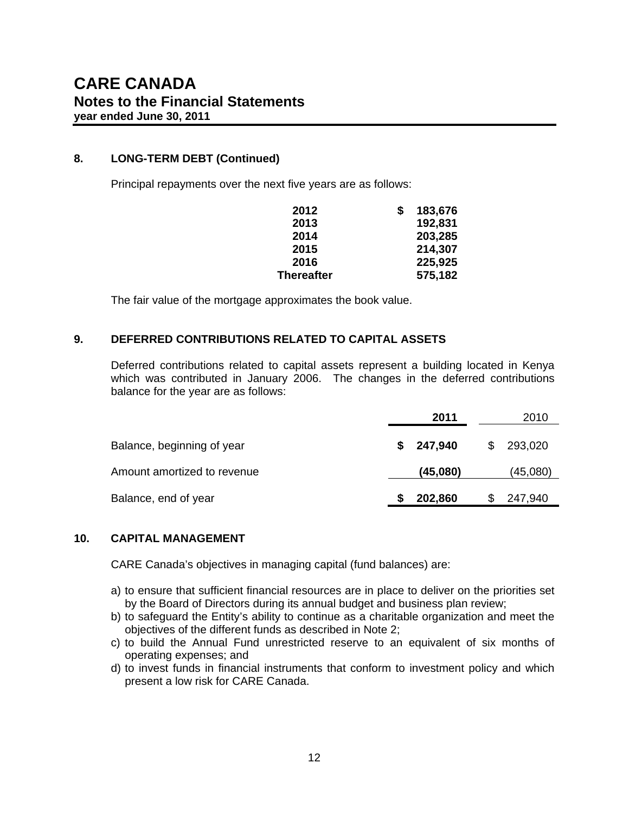#### **8. LONG-TERM DEBT (Continued)**

Principal repayments over the next five years are as follows:

| 2012              | S | 183,676 |
|-------------------|---|---------|
| 2013              |   | 192,831 |
| 2014              |   | 203,285 |
| 2015              |   | 214,307 |
| 2016              |   | 225,925 |
| <b>Thereafter</b> |   | 575,182 |

The fair value of the mortgage approximates the book value.

#### **9. DEFERRED CONTRIBUTIONS RELATED TO CAPITAL ASSETS**

Deferred contributions related to capital assets represent a building located in Kenya which was contributed in January 2006. The changes in the deferred contributions balance for the year are as follows:

|                             | 2011          | 2010         |
|-----------------------------|---------------|--------------|
| Balance, beginning of year  | 247,940<br>\$ | 293,020<br>S |
| Amount amortized to revenue | (45,080)      | (45,080)     |
| Balance, end of year        | 202,860       | 247,940      |

#### **10. CAPITAL MANAGEMENT**

CARE Canada's objectives in managing capital (fund balances) are:

- a) to ensure that sufficient financial resources are in place to deliver on the priorities set by the Board of Directors during its annual budget and business plan review;
- b) to safeguard the Entity's ability to continue as a charitable organization and meet the objectives of the different funds as described in Note 2;
- c) to build the Annual Fund unrestricted reserve to an equivalent of six months of operating expenses; and
- d) to invest funds in financial instruments that conform to investment policy and which present a low risk for CARE Canada.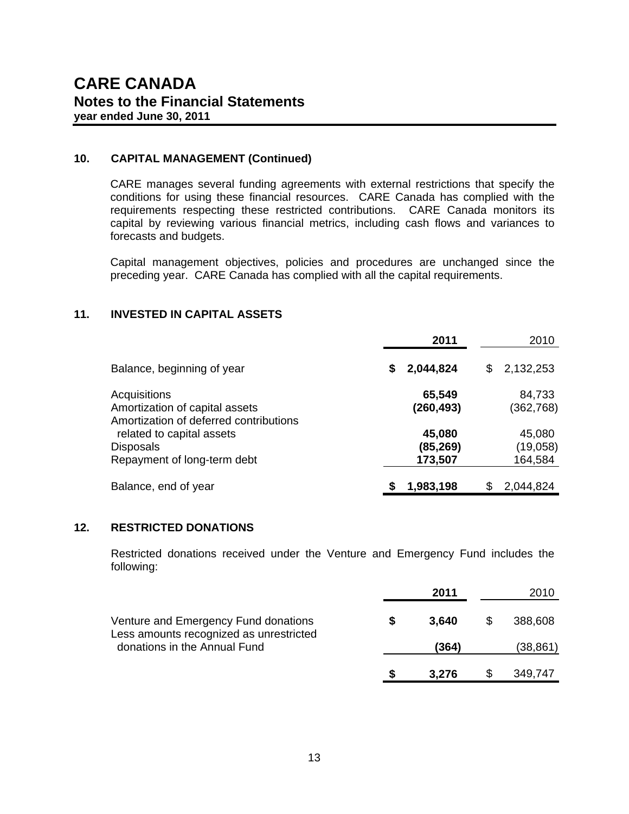#### **10. CAPITAL MANAGEMENT (Continued)**

CARE manages several funding agreements with external restrictions that specify the conditions for using these financial resources. CARE Canada has complied with the requirements respecting these restricted contributions. CARE Canada monitors its capital by reviewing various financial metrics, including cash flows and variances to forecasts and budgets.

Capital management objectives, policies and procedures are unchanged since the preceding year. CARE Canada has complied with all the capital requirements.

#### **11. INVESTED IN CAPITAL ASSETS**

|                                        | 2011       |    | 2010       |
|----------------------------------------|------------|----|------------|
| Balance, beginning of year             | 2,044,824  | S. | 2,132,253  |
| Acquisitions                           | 65,549     |    | 84,733     |
| Amortization of capital assets         | (260, 493) |    | (362, 768) |
| Amortization of deferred contributions |            |    |            |
| related to capital assets              | 45,080     |    | 45,080     |
| <b>Disposals</b>                       | (85, 269)  |    | (19,058)   |
| Repayment of long-term debt            | 173,507    |    | 164,584    |
|                                        |            |    |            |
| Balance, end of year                   | 1,983,198  |    | 2,044,824  |
|                                        |            |    |            |

#### **12. RESTRICTED DONATIONS**

 Restricted donations received under the Venture and Emergency Fund includes the following:

|                                                                                 | 2011  | 2010      |
|---------------------------------------------------------------------------------|-------|-----------|
| Venture and Emergency Fund donations<br>Less amounts recognized as unrestricted | 3.640 | 388,608   |
| donations in the Annual Fund                                                    | (364) | (38, 861) |
|                                                                                 | 3.276 | 349,747   |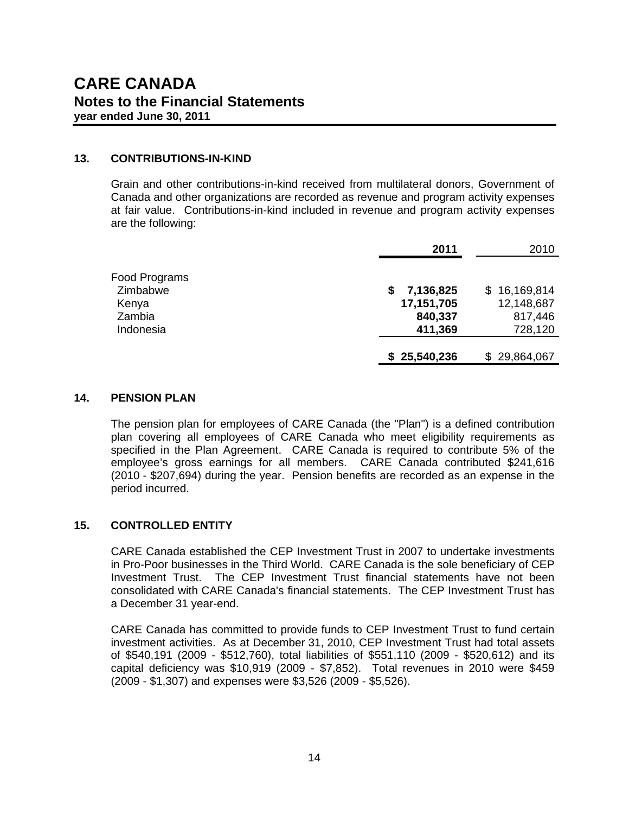#### **13. CONTRIBUTIONS-IN-KIND**

Grain and other contributions-in-kind received from multilateral donors, Government of Canada and other organizations are recorded as revenue and program activity expenses at fair value. Contributions-in-kind included in revenue and program activity expenses are the following:

|                   | 2011                         | 2010                           |
|-------------------|------------------------------|--------------------------------|
| Food Programs     |                              |                                |
| Zimbabwe<br>Kenya | 7,136,825<br>S<br>17,151,705 | 16,169,814<br>S.<br>12,148,687 |
| Zambia            | 840,337                      | 817,446                        |
| Indonesia         | 411,369                      | 728,120                        |
|                   | \$25,540,236                 | \$29,864,067                   |

#### **14. PENSION PLAN**

The pension plan for employees of CARE Canada (the "Plan") is a defined contribution plan covering all employees of CARE Canada who meet eligibility requirements as specified in the Plan Agreement. CARE Canada is required to contribute 5% of the employee's gross earnings for all members. CARE Canada contributed \$241,616 (2010 - \$207,694) during the year. Pension benefits are recorded as an expense in the period incurred.

#### **15. CONTROLLED ENTITY**

CARE Canada established the CEP Investment Trust in 2007 to undertake investments in Pro-Poor businesses in the Third World. CARE Canada is the sole beneficiary of CEP Investment Trust. The CEP Investment Trust financial statements have not been consolidated with CARE Canada's financial statements. The CEP Investment Trust has a December 31 year-end.

CARE Canada has committed to provide funds to CEP Investment Trust to fund certain investment activities. As at December 31, 2010, CEP Investment Trust had total assets of \$540,191 (2009 - \$512,760), total liabilities of \$551,110 (2009 - \$520,612) and its capital deficiency was \$10,919 (2009 - \$7,852). Total revenues in 2010 were \$459 (2009 - \$1,307) and expenses were \$3,526 (2009 - \$5,526).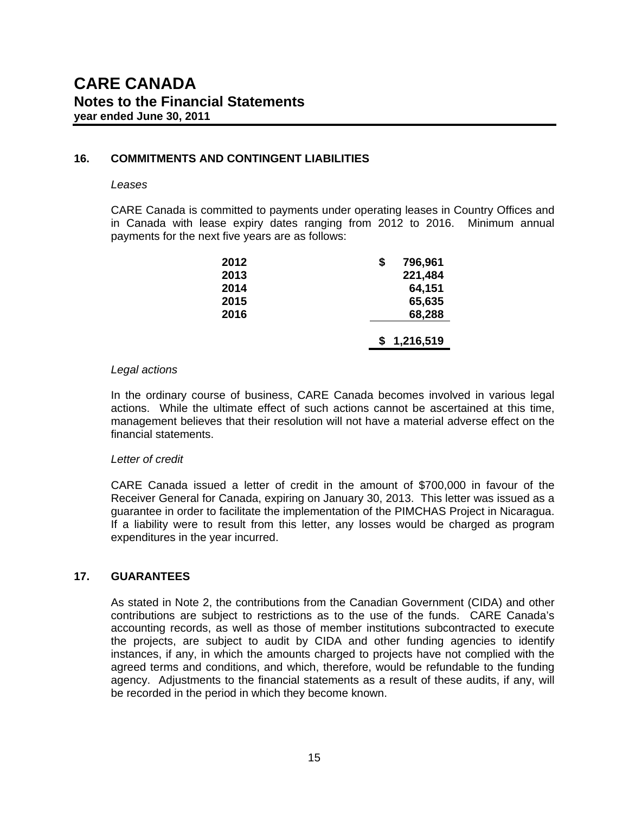#### **16. COMMITMENTS AND CONTINGENT LIABILITIES**

#### *Leases*

CARE Canada is committed to payments under operating leases in Country Offices and in Canada with lease expiry dates ranging from 2012 to 2016. Minimum annual payments for the next five years are as follows:

| 2012 | 796,961<br>\$ |
|------|---------------|
| 2013 | 221,484       |
| 2014 | 64,151        |
| 2015 | 65,635        |
| 2016 | 68,288        |
|      | 1,216,519     |
|      |               |

#### *Legal actions*

In the ordinary course of business, CARE Canada becomes involved in various legal actions. While the ultimate effect of such actions cannot be ascertained at this time, management believes that their resolution will not have a material adverse effect on the financial statements.

#### *Letter of credit*

CARE Canada issued a letter of credit in the amount of \$700,000 in favour of the Receiver General for Canada, expiring on January 30, 2013. This letter was issued as a guarantee in order to facilitate the implementation of the PIMCHAS Project in Nicaragua. If a liability were to result from this letter, any losses would be charged as program expenditures in the year incurred.

#### **17. GUARANTEES**

As stated in Note 2, the contributions from the Canadian Government (CIDA) and other contributions are subject to restrictions as to the use of the funds. CARE Canada's accounting records, as well as those of member institutions subcontracted to execute the projects, are subject to audit by CIDA and other funding agencies to identify instances, if any, in which the amounts charged to projects have not complied with the agreed terms and conditions, and which, therefore, would be refundable to the funding agency. Adjustments to the financial statements as a result of these audits, if any, will be recorded in the period in which they become known.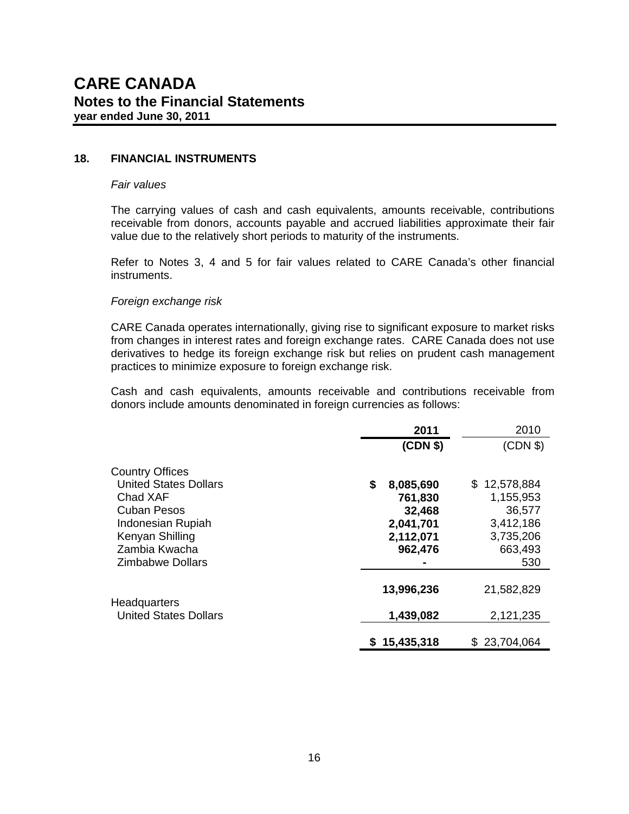#### **18. FINANCIAL INSTRUMENTS**

#### *Fair values*

The carrying values of cash and cash equivalents, amounts receivable, contributions receivable from donors, accounts payable and accrued liabilities approximate their fair value due to the relatively short periods to maturity of the instruments.

Refer to Notes 3, 4 and 5 for fair values related to CARE Canada's other financial instruments.

#### *Foreign exchange risk*

CARE Canada operates internationally, giving rise to significant exposure to market risks from changes in interest rates and foreign exchange rates. CARE Canada does not use derivatives to hedge its foreign exchange risk but relies on prudent cash management practices to minimize exposure to foreign exchange risk.

Cash and cash equivalents, amounts receivable and contributions receivable from donors include amounts denominated in foreign currencies as follows:

|                              | 2011            | 2010         |
|------------------------------|-----------------|--------------|
|                              | (CDN \$)        | (CDN \$)     |
| <b>Country Offices</b>       |                 |              |
| <b>United States Dollars</b> | 8,085,690<br>\$ | \$12,578,884 |
| Chad XAF                     | 761,830         | 1,155,953    |
| <b>Cuban Pesos</b>           | 32,468          | 36,577       |
| Indonesian Rupiah            | 2,041,701       | 3,412,186    |
| Kenyan Shilling              | 2,112,071       | 3,735,206    |
| Zambia Kwacha                | 962,476         | 663,493      |
| Zimbabwe Dollars             |                 | 530          |
|                              | 13,996,236      | 21,582,829   |
| <b>Headquarters</b>          |                 |              |
| <b>United States Dollars</b> | 1,439,082       | 2,121,235    |
|                              | \$15,435,318    | \$23,704,064 |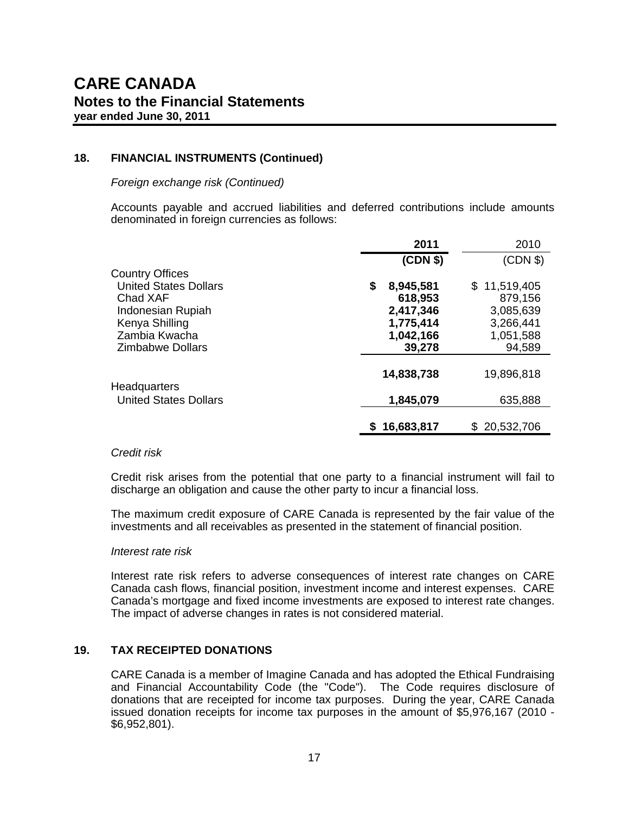#### **18. FINANCIAL INSTRUMENTS (Continued)**

*Foreign exchange risk (Continued)* 

Accounts payable and accrued liabilities and deferred contributions include amounts denominated in foreign currencies as follows:

|                                                        | 2011                       | 2010                    |
|--------------------------------------------------------|----------------------------|-------------------------|
|                                                        | (CDN \$)                   | (CDN \$)                |
| <b>Country Offices</b><br><b>United States Dollars</b> |                            |                         |
| Chad XAF                                               | 8,945,581<br>\$<br>618,953 | \$11,519,405<br>879,156 |
| Indonesian Rupiah                                      | 2,417,346                  | 3,085,639               |
| Kenya Shilling                                         | 1,775,414                  | 3,266,441               |
| Zambia Kwacha                                          | 1,042,166                  | 1,051,588               |
| <b>Zimbabwe Dollars</b>                                | 39,278                     | 94,589                  |
| <b>Headquarters</b>                                    | 14,838,738                 | 19,896,818              |
| <b>United States Dollars</b>                           | 1,845,079                  | 635,888                 |
|                                                        | 16,683,817<br>S.           | \$20,532,706            |

#### *Credit risk*

Credit risk arises from the potential that one party to a financial instrument will fail to discharge an obligation and cause the other party to incur a financial loss.

The maximum credit exposure of CARE Canada is represented by the fair value of the investments and all receivables as presented in the statement of financial position.

#### *Interest rate risk*

 Interest rate risk refers to adverse consequences of interest rate changes on CARE Canada cash flows, financial position, investment income and interest expenses. CARE Canada's mortgage and fixed income investments are exposed to interest rate changes. The impact of adverse changes in rates is not considered material.

#### **19. TAX RECEIPTED DONATIONS**

CARE Canada is a member of Imagine Canada and has adopted the Ethical Fundraising and Financial Accountability Code (the "Code"). The Code requires disclosure of donations that are receipted for income tax purposes. During the year, CARE Canada issued donation receipts for income tax purposes in the amount of \$5,976,167 (2010 - \$6,952,801).